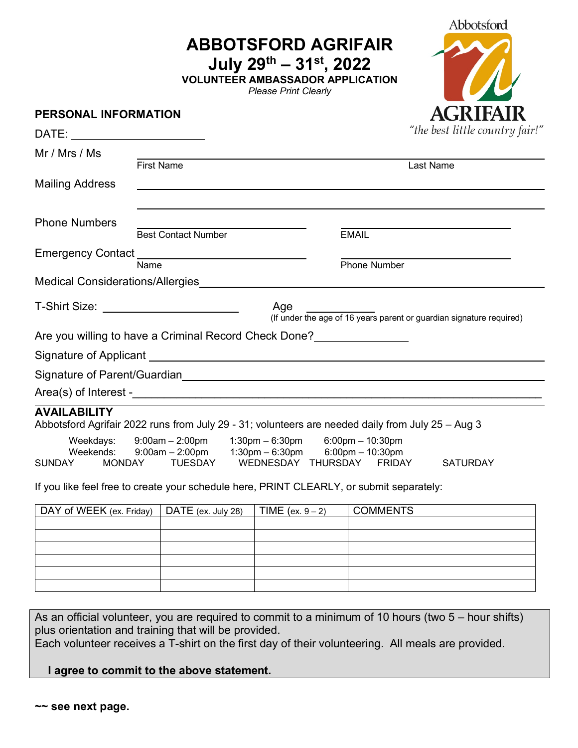**ABBOTSFORD AGRIFAIR**

**July 29th – 31st, 2022**

**VOLUNTEER AMBASSADOR APPLICATION**

*Please Print Clearly*



# **PERSONAL INFORMATION** "the best little country fair!" DATE: Mr / Mrs / Ms First Name Last Name Mailing Address Phone Numbers Best Contact Number **EMAIL** Emergency Contact Name **Name** Phone Number Medical Considerations/Allergies T-Shirt Size: Age (If under the age of 16 years parent or guardian signature required) Are you willing to have a Criminal Record Check Done?<br>
<u>Lettin metal</u> Signature of Applicant Signature of Parent/Guardian and the state of the state of Parent/Guardian  $Area(s)$  of Interest - $\sqrt{a^2+2a^2+4ac}$ **AVAILABILITY** Abbotsford Agrifair 2022 runs from July 29 - 31; volunteers are needed daily from July 25 – Aug 3 Weekdays: 9:00am – 2:00pm 1:30pm – 6:30pm 6:00pm – 10:30pm Weekends: 9:00am – 2:00pm 1:30pm – 6:30pm 6:00pm – 10:30pm SUNDAY MONDAY TUESDAY WEDNESDAY THURSDAY FRIDAY SATURDAY If you like feel free to create your schedule here, PRINT CLEARLY, or submit separately: DAY of WEEK (ex. Friday) DATE (ex. July 28) TIME (ex.  $9-2$ ) COMMENTS

As an official volunteer, you are required to commit to a minimum of 10 hours (two 5 – hour shifts) plus orientation and training that will be provided.

Each volunteer receives a T-shirt on the first day of their volunteering. All meals are provided.

### **I agree to commit to the above statement.**